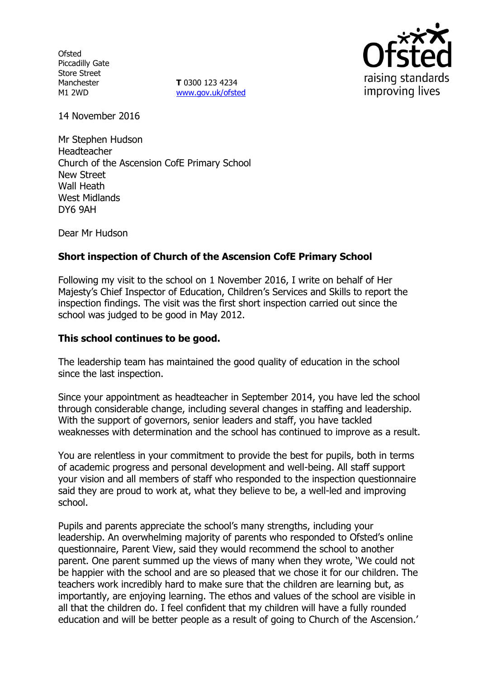**Ofsted** Piccadilly Gate Store Street Manchester M1 2WD

**T** 0300 123 4234 www.gov.uk/ofsted



14 November 2016

Mr Stephen Hudson Headteacher Church of the Ascension CofE Primary School New Street Wall Heath West Midlands DY6 9AH

Dear Mr Hudson

# **Short inspection of Church of the Ascension CofE Primary School**

Following my visit to the school on 1 November 2016, I write on behalf of Her Majesty's Chief Inspector of Education, Children's Services and Skills to report the inspection findings. The visit was the first short inspection carried out since the school was judged to be good in May 2012.

#### **This school continues to be good.**

The leadership team has maintained the good quality of education in the school since the last inspection.

Since your appointment as headteacher in September 2014, you have led the school through considerable change, including several changes in staffing and leadership. With the support of governors, senior leaders and staff, you have tackled weaknesses with determination and the school has continued to improve as a result.

You are relentless in your commitment to provide the best for pupils, both in terms of academic progress and personal development and well-being. All staff support your vision and all members of staff who responded to the inspection questionnaire said they are proud to work at, what they believe to be, a well-led and improving school.

Pupils and parents appreciate the school's many strengths, including your leadership. An overwhelming majority of parents who responded to Ofsted's online questionnaire, Parent View, said they would recommend the school to another parent. One parent summed up the views of many when they wrote, 'We could not be happier with the school and are so pleased that we chose it for our children. The teachers work incredibly hard to make sure that the children are learning but, as importantly, are enjoying learning. The ethos and values of the school are visible in all that the children do. I feel confident that my children will have a fully rounded education and will be better people as a result of going to Church of the Ascension.'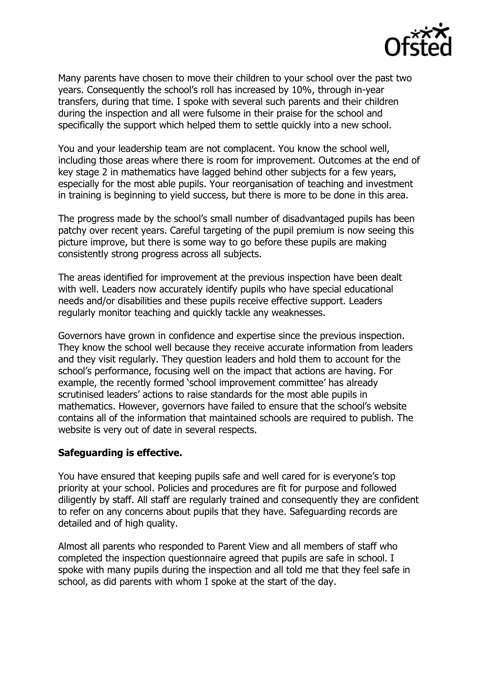

Many parents have chosen to move their children to your school over the past two years. Consequently the school's roll has increased by 10%, through in-year transfers, during that time. I spoke with several such parents and their children during the inspection and all were fulsome in their praise for the school and specifically the support which helped them to settle quickly into a new school.

You and your leadership team are not complacent. You know the school well, including those areas where there is room for improvement. Outcomes at the end of key stage 2 in mathematics have lagged behind other subjects for a few years, especially for the most able pupils. Your reorganisation of teaching and investment in training is beginning to yield success, but there is more to be done in this area.

The progress made by the school's small number of disadvantaged pupils has been patchy over recent years. Careful targeting of the pupil premium is now seeing this picture improve, but there is some way to go before these pupils are making consistently strong progress across all subjects.

The areas identified for improvement at the previous inspection have been dealt with well. Leaders now accurately identify pupils who have special educational needs and/or disabilities and these pupils receive effective support. Leaders regularly monitor teaching and quickly tackle any weaknesses.

Governors have grown in confidence and expertise since the previous inspection. They know the school well because they receive accurate information from leaders and they visit regularly. They question leaders and hold them to account for the school's performance, focusing well on the impact that actions are having. For example, the recently formed 'school improvement committee' has already scrutinised leaders' actions to raise standards for the most able pupils in mathematics. However, governors have failed to ensure that the school's website contains all of the information that maintained schools are required to publish. The website is very out of date in several respects.

#### **Safeguarding is effective.**

You have ensured that keeping pupils safe and well cared for is everyone's top priority at your school. Policies and procedures are fit for purpose and followed diligently by staff. All staff are regularly trained and consequently they are confident to refer on any concerns about pupils that they have. Safeguarding records are detailed and of high quality.

Almost all parents who responded to Parent View and all members of staff who completed the inspection questionnaire agreed that pupils are safe in school. I spoke with many pupils during the inspection and all told me that they feel safe in school, as did parents with whom I spoke at the start of the day.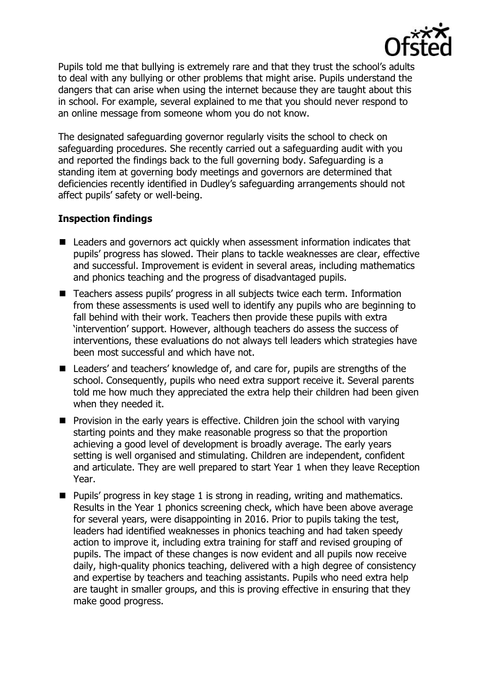

Pupils told me that bullying is extremely rare and that they trust the school's adults to deal with any bullying or other problems that might arise. Pupils understand the dangers that can arise when using the internet because they are taught about this in school. For example, several explained to me that you should never respond to an online message from someone whom you do not know.

The designated safeguarding governor regularly visits the school to check on safeguarding procedures. She recently carried out a safeguarding audit with you and reported the findings back to the full governing body. Safeguarding is a standing item at governing body meetings and governors are determined that deficiencies recently identified in Dudley's safeguarding arrangements should not affect pupils' safety or well-being.

# **Inspection findings**

- Leaders and governors act quickly when assessment information indicates that pupils' progress has slowed. Their plans to tackle weaknesses are clear, effective and successful. Improvement is evident in several areas, including mathematics and phonics teaching and the progress of disadvantaged pupils.
- Teachers assess pupils' progress in all subjects twice each term. Information from these assessments is used well to identify any pupils who are beginning to fall behind with their work. Teachers then provide these pupils with extra 'intervention' support. However, although teachers do assess the success of interventions, these evaluations do not always tell leaders which strategies have been most successful and which have not.
- Leaders' and teachers' knowledge of, and care for, pupils are strengths of the school. Consequently, pupils who need extra support receive it. Several parents told me how much they appreciated the extra help their children had been given when they needed it.
- $\blacksquare$  Provision in the early years is effective. Children join the school with varying starting points and they make reasonable progress so that the proportion achieving a good level of development is broadly average. The early years setting is well organised and stimulating. Children are independent, confident and articulate. They are well prepared to start Year 1 when they leave Reception Year.
- $\blacksquare$  Pupils' progress in key stage 1 is strong in reading, writing and mathematics. Results in the Year 1 phonics screening check, which have been above average for several years, were disappointing in 2016. Prior to pupils taking the test, leaders had identified weaknesses in phonics teaching and had taken speedy action to improve it, including extra training for staff and revised grouping of pupils. The impact of these changes is now evident and all pupils now receive daily, high-quality phonics teaching, delivered with a high degree of consistency and expertise by teachers and teaching assistants. Pupils who need extra help are taught in smaller groups, and this is proving effective in ensuring that they make good progress.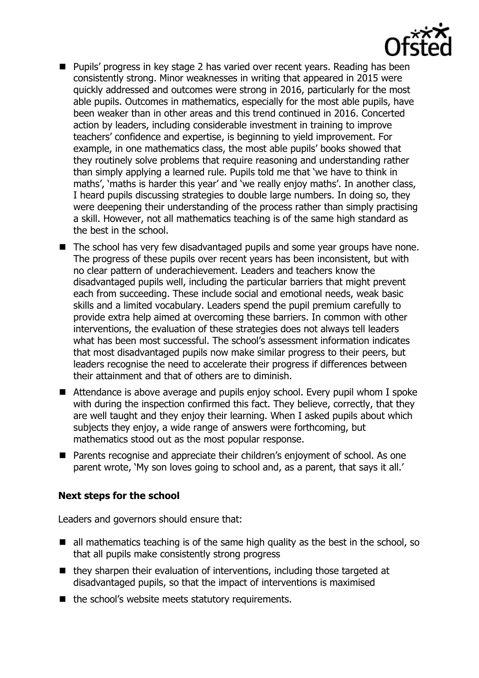

- Pupils' progress in key stage 2 has varied over recent years. Reading has been consistently strong. Minor weaknesses in writing that appeared in 2015 were quickly addressed and outcomes were strong in 2016, particularly for the most able pupils. Outcomes in mathematics, especially for the most able pupils, have been weaker than in other areas and this trend continued in 2016. Concerted action by leaders, including considerable investment in training to improve teachers' confidence and expertise, is beginning to yield improvement. For example, in one mathematics class, the most able pupils' books showed that they routinely solve problems that require reasoning and understanding rather than simply applying a learned rule. Pupils told me that 'we have to think in maths', 'maths is harder this year' and 'we really enjoy maths'. In another class, I heard pupils discussing strategies to double large numbers. In doing so, they were deepening their understanding of the process rather than simply practising a skill. However, not all mathematics teaching is of the same high standard as the best in the school.
- The school has very few disadvantaged pupils and some year groups have none. The progress of these pupils over recent years has been inconsistent, but with no clear pattern of underachievement. Leaders and teachers know the disadvantaged pupils well, including the particular barriers that might prevent each from succeeding. These include social and emotional needs, weak basic skills and a limited vocabulary. Leaders spend the pupil premium carefully to provide extra help aimed at overcoming these barriers. In common with other interventions, the evaluation of these strategies does not always tell leaders what has been most successful. The school's assessment information indicates that most disadvantaged pupils now make similar progress to their peers, but leaders recognise the need to accelerate their progress if differences between their attainment and that of others are to diminish.
- Attendance is above average and pupils enjoy school. Every pupil whom I spoke with during the inspection confirmed this fact. They believe, correctly, that they are well taught and they enjoy their learning. When I asked pupils about which subjects they enjoy, a wide range of answers were forthcoming, but mathematics stood out as the most popular response.
- Parents recognise and appreciate their children's enjoyment of school. As one parent wrote, 'My son loves going to school and, as a parent, that says it all.'

# **Next steps for the school**

Leaders and governors should ensure that:

- $\blacksquare$  all mathematics teaching is of the same high quality as the best in the school, so that all pupils make consistently strong progress
- they sharpen their evaluation of interventions, including those targeted at disadvantaged pupils, so that the impact of interventions is maximised
- $\blacksquare$  the school's website meets statutory requirements.